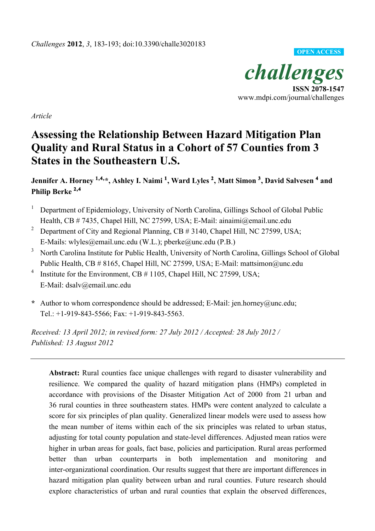

*Article*

# **Assessing the Relationship Between Hazard Mitigation Plan Quality and Rural Status in a Cohort of 57 Counties from 3 States in the Southeastern U.S.**

**Jennifer A. Horney 1,4,\*, Ashley I. Naimi <sup>1</sup> , Ward Lyles <sup>2</sup> , Matt Simon <sup>3</sup> , David Salvesen <sup>4</sup> and Philip Berke 2,4**

- <sup>1</sup> Department of Epidemiology, University of North Carolina, Gillings School of Global Public Health, CB # 7435, Chapel Hill, NC 27599, USA; E-Mail: ainaimi@email.unc.edu
- <sup>2</sup> Department of City and Regional Planning, CB  $\#$  3140, Chapel Hill, NC 27599, USA; E-Mails: wlyles@email.unc.edu (W.L.); pberke@unc.edu (P.B.)
- <sup>3</sup> North Carolina Institute for Public Health, University of North Carolina, Gillings School of Global Public Health, CB # 8165, Chapel Hill, NC 27599, USA; E-Mail: mattsimon@unc.edu
- <sup>4</sup> Institute for the Environment, CB  $# 1105$ , Chapel Hill, NC 27599, USA; E-Mail: dsalv@email.unc.edu
- **\*** Author to whom correspondence should be addressed; E-Mail: jen.horney@unc.edu; Tel.: +1-919-843-5566; Fax: +1-919-843-5563.

*Received: 13 April 2012; in revised form: 27 July 2012 / Accepted: 28 July 2012 / Published: 13 August 2012*

**Abstract:** Rural counties face unique challenges with regard to disaster vulnerability and resilience. We compared the quality of hazard mitigation plans (HMPs) completed in accordance with provisions of the Disaster Mitigation Act of 2000 from 21 urban and 36 rural counties in three southeastern states. HMPs were content analyzed to calculate a score for six principles of plan quality. Generalized linear models were used to assess how the mean number of items within each of the six principles was related to urban status, adjusting for total county population and state-level differences. Adjusted mean ratios were higher in urban areas for goals, fact base, policies and participation. Rural areas performed better than urban counterparts in both implementation and monitoring and inter-organizational coordination. Our results suggest that there are important differences in hazard mitigation plan quality between urban and rural counties. Future research should explore characteristics of urban and rural counties that explain the observed differences,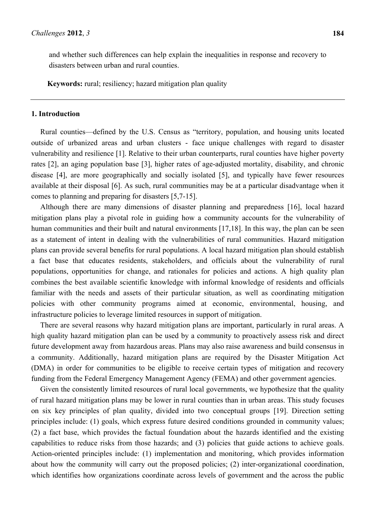and whether such differences can help explain the inequalities in response and recovery to disasters between urban and rural counties.

**Keywords:** rural; resiliency; hazard mitigation plan quality

### **1. Introduction**

Rural counties—defined by the U.S. Census as "territory, population, and housing units located outside of urbanized areas and urban clusters - face unique challenges with regard to disaster vulnerability and resilience [1]. Relative to their urban counterparts, rural counties have higher poverty rates [2], an aging population base [3], higher rates of age-adjusted mortality, disability, and chronic disease [4], are more geographically and socially isolated [5], and typically have fewer resources available at their disposal [6]. As such, rural communities may be at a particular disadvantage when it comes to planning and preparing for disasters [5,7-15].

Although there are many dimensions of disaster planning and preparedness [16], local hazard mitigation plans play a pivotal role in guiding how a community accounts for the vulnerability of human communities and their built and natural environments [17,18]. In this way, the plan can be seen as a statement of intent in dealing with the vulnerabilities of rural communities. Hazard mitigation plans can provide several benefits for rural populations. A local hazard mitigation plan should establish a fact base that educates residents, stakeholders, and officials about the vulnerability of rural populations, opportunities for change, and rationales for policies and actions. A high quality plan combines the best available scientific knowledge with informal knowledge of residents and officials familiar with the needs and assets of their particular situation, as well as coordinating mitigation policies with other community programs aimed at economic, environmental, housing, and infrastructure policies to leverage limited resources in support of mitigation.

There are several reasons why hazard mitigation plans are important, particularly in rural areas. A high quality hazard mitigation plan can be used by a community to proactively assess risk and direct future development away from hazardous areas. Plans may also raise awareness and build consensus in a community. Additionally, hazard mitigation plans are required by the Disaster Mitigation Act (DMA) in order for communities to be eligible to receive certain types of mitigation and recovery funding from the Federal Emergency Management Agency (FEMA) and other government agencies.

Given the consistently limited resources of rural local governments, we hypothesize that the quality of rural hazard mitigation plans may be lower in rural counties than in urban areas. This study focuses on six key principles of plan quality, divided into two conceptual groups [19]. Direction setting principles include: (1) goals, which express future desired conditions grounded in community values; (2) a fact base, which provides the factual foundation about the hazards identified and the existing capabilities to reduce risks from those hazards; and (3) policies that guide actions to achieve goals. Action-oriented principles include: (1) implementation and monitoring, which provides information about how the community will carry out the proposed policies; (2) inter-organizational coordination, which identifies how organizations coordinate across levels of government and the across the public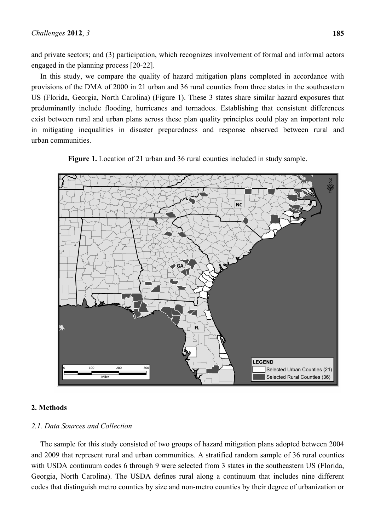and private sectors; and (3) participation, which recognizes involvement of formal and informal actors engaged in the planning process [20-22].

In this study, we compare the quality of hazard mitigation plans completed in accordance with provisions of the DMA of 2000 in 21 urban and 36 rural counties from three states in the southeastern US (Florida, Georgia, North Carolina) (Figure 1). These 3 states share similar hazard exposures that predominantly include flooding, hurricanes and tornadoes. Establishing that consistent differences exist between rural and urban plans across these plan quality principles could play an important role in mitigating inequalities in disaster preparedness and response observed between rural and urban communities.



**Figure 1.** Location of 21 urban and 36 rural counties included in study sample.

# **2. Methods**

# *2.1. Data Sources and Collection*

The sample for this study consisted of two groups of hazard mitigation plans adopted between 2004 and 2009 that represent rural and urban communities. A stratified random sample of 36 rural counties with USDA continuum codes 6 through 9 were selected from 3 states in the southeastern US (Florida, Georgia, North Carolina). The USDA defines rural along a continuum that includes nine different codes that distinguish metro counties by size and non-metro counties by their degree of urbanization or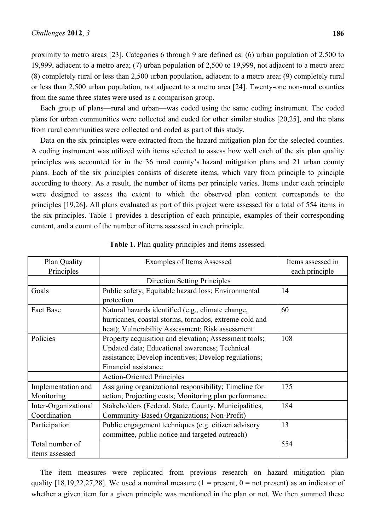proximity to metro areas [23]. Categories 6 through 9 are defined as: (6) urban population of 2,500 to 19,999, adjacent to a metro area; (7) urban population of 2,500 to 19,999, not adjacent to a metro area; (8) completely rural or less than 2,500 urban population, adjacent to a metro area; (9) completely rural or less than 2,500 urban population, not adjacent to a metro area [24]. Twenty-one non-rural counties from the same three states were used as a comparison group.

Each group of plans—rural and urban—was coded using the same coding instrument. The coded plans for urban communities were collected and coded for other similar studies [20,25], and the plans from rural communities were collected and coded as part of this study.

Data on the six principles were extracted from the hazard mitigation plan for the selected counties. A coding instrument was utilized with items selected to assess how well each of the six plan quality principles was accounted for in the 36 rural county's hazard mitigation plans and 21 urban county plans. Each of the six principles consists of discrete items, which vary from principle to principle according to theory. As a result, the number of items per principle varies. Items under each principle were designed to assess the extent to which the observed plan content corresponds to the principles [19,26]. All plans evaluated as part of this project were assessed for a total of 554 items in the six principles. Table 1 provides a description of each principle, examples of their corresponding content, and a count of the number of items assessed in each principle.

| Plan Quality         | <b>Examples of Items Assessed</b>                      | Items assessed in |
|----------------------|--------------------------------------------------------|-------------------|
| Principles           |                                                        | each principle    |
|                      | <b>Direction Setting Principles</b>                    |                   |
| Goals                | Public safety; Equitable hazard loss; Environmental    | 14                |
|                      | protection                                             |                   |
| <b>Fact Base</b>     | Natural hazards identified (e.g., climate change,      | 60                |
|                      | hurricanes, coastal storms, tornados, extreme cold and |                   |
|                      | heat); Vulnerability Assessment; Risk assessment       |                   |
| Policies             | Property acquisition and elevation; Assessment tools;  | 108               |
|                      | Updated data; Educational awareness; Technical         |                   |
|                      | assistance; Develop incentives; Develop regulations;   |                   |
|                      | Financial assistance                                   |                   |
|                      | <b>Action-Oriented Principles</b>                      |                   |
| Implementation and   | Assigning organizational responsibility; Timeline for  | 175               |
| Monitoring           | action; Projecting costs; Monitoring plan performance  |                   |
| Inter-Organizational | Stakeholders (Federal, State, County, Municipalities,  | 184               |
| Coordination         | Community-Based) Organizations; Non-Profit)            |                   |
| Participation        | Public engagement techniques (e.g. citizen advisory    | 13                |
|                      | committee, public notice and targeted outreach)        |                   |
| Total number of      |                                                        | 554               |
| items assessed       |                                                        |                   |

**Table 1.** Plan quality principles and items assessed.

The item measures were replicated from previous research on hazard mitigation plan quality [18,19,22,27,28]. We used a nominal measure (1 = present, 0 = not present) as an indicator of whether a given item for a given principle was mentioned in the plan or not. We then summed these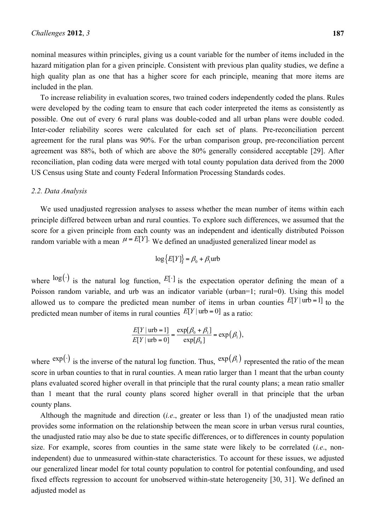nominal measures within principles, giving us a count variable for the number of items included in the hazard mitigation plan for a given principle. Consistent with previous plan quality studies, we define a high quality plan as one that has a higher score for each principle, meaning that more items are included in the plan.

To increase reliability in evaluation scores, two trained coders independently coded the plans. Rules were developed by the coding team to ensure that each coder interpreted the items as consistently as possible. One out of every 6 rural plans was double-coded and all urban plans were double coded. Inter-coder reliability scores were calculated for each set of plans. Pre-reconciliation percent agreement for the rural plans was 90%. For the urban comparison group, pre-reconciliation percent agreement was 88%, both of which are above the 80% generally considered acceptable [29]. After reconciliation, plan coding data were merged with total county population data derived from the 2000 US Census using State and county Federal Information Processing Standards codes.

### *2.2. Data Analysis*

We used unadjusted regression analyses to assess whether the mean number of items within each principle differed between urban and rural counties. To explore such differences, we assumed that the score for a given principle from each county was an independent and identically distributed Poisson random variable with a mean  $\mu = E[Y]$ . We defined an unadjusted generalized linear model as

$$
\log{E[Y]} = \beta_0 + \beta_1 \text{urb}
$$

where  $\log(\cdot)$  is the natural log function,  $E[\cdot]$  is the expectation operator defining the mean of a Poisson random variable, and urb was an indicator variable (urban=1; rural=0). Using this model allowed us to compare the predicted mean number of items in urban counties  $E[Y|$ urb = 1] to the predicted mean number of items in rural counties  $E[Y|$ urb = 0] as a ratio:

$$
\frac{E[Y \mid \text{urb} = 1]}{E[Y \mid \text{urb} = 0]} = \frac{\exp[\beta_0 + \beta_1]}{\exp[\beta_0]} = \exp(\beta_1),
$$

where  $\exp(\cdot)$  is the inverse of the natural log function. Thus,  $\exp(\beta_1)$  represented the ratio of the mean score in urban counties to that in rural counties. A mean ratio larger than 1 meant that the urban county plans evaluated scored higher overall in that principle that the rural county plans; a mean ratio smaller than 1 meant that the rural county plans scored higher overall in that principle that the urban county plans.

Although the magnitude and direction (*i.e*., greater or less than 1) of the unadjusted mean ratio provides some information on the relationship between the mean score in urban versus rural counties, the unadjusted ratio may also be due to state specific differences, or to differences in county population size. For example, scores from counties in the same state were likely to be correlated (*i.e*., nonindependent) due to unmeasured within-state characteristics. To account for these issues, we adjusted our generalized linear model for total county population to control for potential confounding, and used fixed effects regression to account for unobserved within-state heterogeneity [30, 31]. We defined an adjusted model as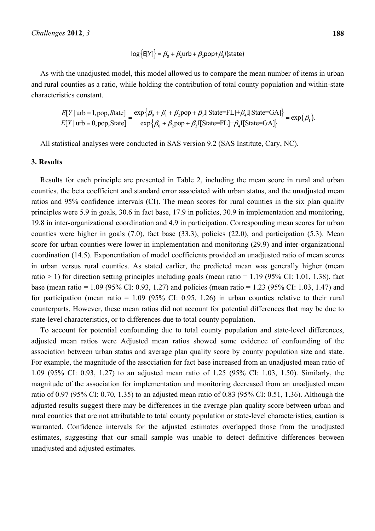# $\log {\{\text{E}[Y]\}} = \beta_0 + \beta_1$ urb +  $\beta_2$ pop+ $\beta_3$ /(state)

As with the unadjusted model, this model allowed us to compare the mean number of items in urban and rural counties as a ratio, while holding the contribution of total county population and within-state characteristics constant.

$$
\frac{E[Y \mid \text{urb} = 1, \text{pop}, \text{State}]}{E[Y \mid \text{urb} = 0, \text{pop}, \text{State}]} = \frac{\exp\{\beta_0 + \beta_1 + \beta_2 \text{pop} + \beta_3 I[\text{State}=FL] + \beta_4 I[\text{State}=GA]\}}{\exp\{\beta_0 + \beta_2 \text{pop} + \beta_3 I[\text{State}=FL] + \beta_4 I[\text{State}=GA]\}} = \exp(\beta_1).
$$

All statistical analyses were conducted in SAS version 9.2 (SAS Institute, Cary, NC).

### **3. Results**

Results for each principle are presented in Table 2, including the mean score in rural and urban counties, the beta coefficient and standard error associated with urban status, and the unadjusted mean ratios and 95% confidence intervals (CI). The mean scores for rural counties in the six plan quality principles were 5.9 in goals, 30.6 in fact base, 17.9 in policies, 30.9 in implementation and monitoring, 19.8 in inter-organizational coordination and 4.9 in participation. Corresponding mean scores for urban counties were higher in goals (7.0), fact base (33.3), policies (22.0), and participation (5.3). Mean score for urban counties were lower in implementation and monitoring (29.9) and inter-organizational coordination (14.5). Exponentiation of model coefficients provided an unadjusted ratio of mean scores in urban versus rural counties. As stated earlier, the predicted mean was generally higher (mean ratio  $> 1$ ) for direction setting principles including goals (mean ratio = 1.19 (95% CI: 1.01, 1.38), fact base (mean ratio = 1.09 (95% CI: 0.93, 1.27) and policies (mean ratio = 1.23 (95% CI: 1.03, 1.47) and for participation (mean ratio =  $1.09$  (95% CI: 0.95, 1.26) in urban counties relative to their rural counterparts. However, these mean ratios did not account for potential differences that may be due to state-level characteristics, or to differences due to total county population.

To account for potential confounding due to total county population and state-level differences, adjusted mean ratios were Adjusted mean ratios showed some evidence of confounding of the association between urban status and average plan quality score by county population size and state. For example, the magnitude of the association for fact base increased from an unadjusted mean ratio of 1.09 (95% CI: 0.93, 1.27) to an adjusted mean ratio of 1.25 (95% CI: 1.03, 1.50). Similarly, the magnitude of the association for implementation and monitoring decreased from an unadjusted mean ratio of 0.97 (95% CI: 0.70, 1.35) to an adjusted mean ratio of 0.83 (95% CI: 0.51, 1.36). Although the adjusted results suggest there may be differences in the average plan quality score between urban and rural counties that are not attributable to total county population or state-level characteristics, caution is warranted. Confidence intervals for the adjusted estimates overlapped those from the unadjusted estimates, suggesting that our small sample was unable to detect definitive differences between unadjusted and adjusted estimates.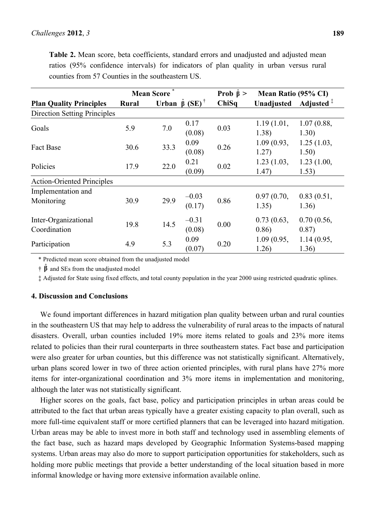|                                      | <b>Mean Score</b> |      |                                       | Prob $\hat{\beta}$ > | Mean Ratio (95% CI) |                     |
|--------------------------------------|-------------------|------|---------------------------------------|----------------------|---------------------|---------------------|
| <b>Plan Quality Principles</b>       | <b>Rural</b>      |      | Urban $\hat{\beta}$ (SE) <sup>†</sup> | ChiSq                | Unadjusted          | Adjusted $†$        |
| <b>Direction Setting Principles</b>  |                   |      |                                       |                      |                     |                     |
| Goals                                | 5.9               | 7.0  | 0.17<br>(0.08)                        | 0.03                 | 1.19(1.01,<br>1.38) | 1.07(0.88,<br>1.30) |
| <b>Fact Base</b>                     | 30.6              | 33.3 | 0.09<br>(0.08)                        | 0.26                 | 1.09(0.93,<br>1.27) | 1.25(1.03,<br>1.50) |
| Policies                             | 17.9              | 22.0 | 0.21<br>(0.09)                        | 0.02                 | 1.23(1.03,<br>1.47) | 1.23(1.00,<br>1.53) |
| <b>Action-Oriented Principles</b>    |                   |      |                                       |                      |                     |                     |
| Implementation and<br>Monitoring     | 30.9              | 29.9 | $-0.03$<br>(0.17)                     | 0.86                 | 0.97(0.70,<br>1.35) | 0.83(0.51,<br>1.36) |
| Inter-Organizational<br>Coordination | 19.8              | 14.5 | $-0.31$<br>(0.08)                     | 0.00                 | 0.73(0.63,<br>0.86) | 0.70(0.56,<br>0.87) |
| Participation                        | 4.9               | 5.3  | 0.09<br>(0.07)                        | 0.20                 | 1.09(0.95,<br>1.26) | 1.14(0.95,<br>1.36) |

**Table 2.** Mean score, beta coefficients, standard errors and unadjusted and adjusted mean ratios (95% confidence intervals) for indicators of plan quality in urban versus rural counties from 57 Counties in the southeastern US.

\* Predicted mean score obtained from the unadjusted model

 $\hat{\beta}$  and SEs from the unadjusted model

‡ Adjusted for State using fixed effects, and total county population in the year 2000 using restricted quadratic splines.

### **4. Discussion and Conclusions**

We found important differences in hazard mitigation plan quality between urban and rural counties in the southeastern US that may help to address the vulnerability of rural areas to the impacts of natural disasters. Overall, urban counties included 19% more items related to goals and 23% more items related to policies than their rural counterparts in three southeastern states. Fact base and participation were also greater for urban counties, but this difference was not statistically significant. Alternatively, urban plans scored lower in two of three action oriented principles, with rural plans have 27% more items for inter-organizational coordination and 3% more items in implementation and monitoring, although the later was not statistically significant.

Higher scores on the goals, fact base, policy and participation principles in urban areas could be attributed to the fact that urban areas typically have a greater existing capacity to plan overall, such as more full-time equivalent staff or more certified planners that can be leveraged into hazard mitigation. Urban areas may be able to invest more in both staff and technology used in assembling elements of the fact base, such as hazard maps developed by Geographic Information Systems-based mapping systems. Urban areas may also do more to support participation opportunities for stakeholders, such as holding more public meetings that provide a better understanding of the local situation based in more informal knowledge or having more extensive information available online.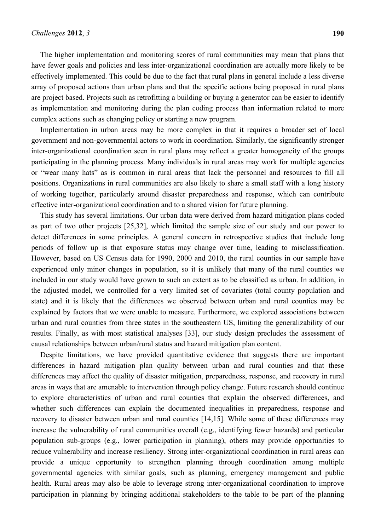The higher implementation and monitoring scores of rural communities may mean that plans that have fewer goals and policies and less inter-organizational coordination are actually more likely to be effectively implemented. This could be due to the fact that rural plans in general include a less diverse array of proposed actions than urban plans and that the specific actions being proposed in rural plans are project based. Projects such as retrofitting a building or buying a generator can be easier to identify as implementation and monitoring during the plan coding process than information related to more complex actions such as changing policy or starting a new program.

Implementation in urban areas may be more complex in that it requires a broader set of local government and non-governmental actors to work in coordination. Similarly, the significantly stronger inter-organizational coordination seen in rural plans may reflect a greater homogeneity of the groups participating in the planning process. Many individuals in rural areas may work for multiple agencies or "wear many hats" as is common in rural areas that lack the personnel and resources to fill all positions. Organizations in rural communities are also likely to share a small staff with a long history of working together, particularly around disaster preparedness and response, which can contribute effective inter-organizational coordination and to a shared vision for future planning.

This study has several limitations. Our urban data were derived from hazard mitigation plans coded as part of two other projects [25,32], which limited the sample size of our study and our power to detect differences in some principles. A general concern in retrospective studies that include long periods of follow up is that exposure status may change over time, leading to misclassification. However, based on US Census data for 1990, 2000 and 2010, the rural counties in our sample have experienced only minor changes in population, so it is unlikely that many of the rural counties we included in our study would have grown to such an extent as to be classified as urban. In addition, in the adjusted model, we controlled for a very limited set of covariates (total county population and state) and it is likely that the differences we observed between urban and rural counties may be explained by factors that we were unable to measure. Furthermore, we explored associations between urban and rural counties from three states in the southeastern US, limiting the generalizability of our results. Finally, as with most statistical analyses [33], our study design precludes the assessment of causal relationships between urban/rural status and hazard mitigation plan content.

Despite limitations, we have provided quantitative evidence that suggests there are important differences in hazard mitigation plan quality between urban and rural counties and that these differences may affect the quality of disaster mitigation, preparedness, response, and recovery in rural areas in ways that are amenable to intervention through policy change. Future research should continue to explore characteristics of urban and rural counties that explain the observed differences, and whether such differences can explain the documented inequalities in preparedness, response and recovery to disaster between urban and rural counties [14,15]. While some of these differences may increase the vulnerability of rural communities overall (e.g., identifying fewer hazards) and particular population sub-groups (e.g., lower participation in planning), others may provide opportunities to reduce vulnerability and increase resiliency. Strong inter-organizational coordination in rural areas can provide a unique opportunity to strengthen planning through coordination among multiple governmental agencies with similar goals, such as planning, emergency management and public health. Rural areas may also be able to leverage strong inter-organizational coordination to improve participation in planning by bringing additional stakeholders to the table to be part of the planning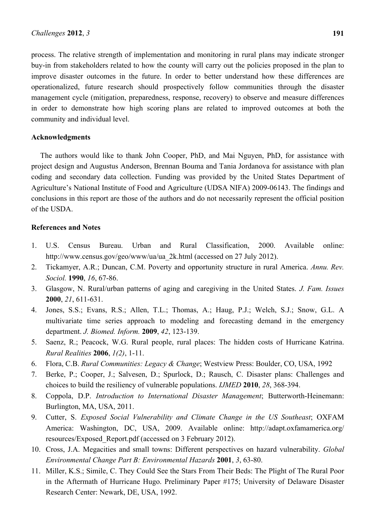process. The relative strength of implementation and monitoring in rural plans may indicate stronger buy-in from stakeholders related to how the county will carry out the policies proposed in the plan to improve disaster outcomes in the future. In order to better understand how these differences are operationalized, future research should prospectively follow communities through the disaster management cycle (mitigation, preparedness, response, recovery) to observe and measure differences in order to demonstrate how high scoring plans are related to improved outcomes at both the community and individual level.

### **Acknowledgments**

The authors would like to thank John Cooper, PhD, and Mai Nguyen, PhD, for assistance with project design and Augustus Anderson, Brennan Bouma and Tania Jordanova for assistance with plan coding and secondary data collection. Funding was provided by the United States Department of Agriculture's National Institute of Food and Agriculture (UDSA NIFA) 2009-06143. The findings and conclusions in this report are those of the authors and do not necessarily represent the official position of the USDA.

### **References and Notes**

- 1. U.S. Census Bureau. Urban and Rural Classification, 2000. Available online: http://www.census.gov/geo/www/ua/ua\_2k.html (accessed on 27 July 2012).
- 2. Tickamyer, A.R.; Duncan, C.M. Poverty and opportunity structure in rural America. *Annu. Rev. Sociol.* **1990**, *16*, 67-86.
- 3. Glasgow, N. Rural/urban patterns of aging and caregiving in the United States. *J. Fam. Issues* **2000**, *21*, 611-631.
- 4. Jones, S.S.; Evans, R.S.; Allen, T.L.; Thomas, A.; Haug, P.J.; Welch, S.J.; Snow, G.L. A multivariate time series approach to modeling and forecasting demand in the emergency department. *J. Biomed. Inform.* **2009**, *42*, 123-139.
- 5. Saenz, R.; Peacock, W.G. Rural people, rural places: The hidden costs of Hurricane Katrina. *Rural Realities* **2006**, *1(2)*, 1-11.
- 6. Flora, C.B. *Rural Communities: Legacy & Change*; Westview Press: Boulder, CO, USA, 1992
- 7. Berke, P.; Cooper, J.; Salvesen, D.; Spurlock, D.; Rausch, C. Disaster plans: Challenges and choices to build the resiliency of vulnerable populations. *IJMED* **2010**, *28*, 368-394.
- 8. Coppola, D.P. *Introduction to International Disaster Management*; Butterworth-Heinemann: Burlington, MA, USA, 2011.
- 9. Cutter, S. *Exposed Social Vulnerability and Climate Change in the US Southeast*; OXFAM America: Washington, DC, USA, 2009. Available online: http://adapt.oxfamamerica.org/ resources/Exposed\_Report.pdf (accessed on 3 February 2012).
- 10. Cross, J.A. Megacities and small towns: Different perspectives on hazard vulnerability. *Global Environmental Change Part B: Environmental Hazards* **2001**, *3*, 63-80.
- 11. Miller, K.S.; Simile, C. They Could See the Stars From Their Beds: The Plight of The Rural Poor in the Aftermath of Hurricane Hugo. Preliminary Paper #175; University of Delaware Disaster Research Center: Newark, DE, USA, 1992.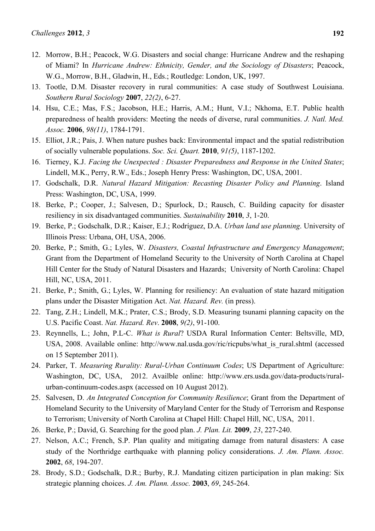- 12. Morrow, B.H.; Peacock, W.G. Disasters and social change: Hurricane Andrew and the reshaping of Miami? In *Hurricane Andrew: Ethnicity, Gender, and the Sociology of Disasters*; Peacock, W.G., Morrow, B.H., Gladwin, H., Eds.; Routledge: London, UK, 1997.
- 13. Tootle, D.M. Disaster recovery in rural communities: A case study of Southwest Louisiana. *Southern Rural Sociology* **2007**, *22(2)*, 6-27.
- 14. Hsu, C.E.; Mas, F.S.; Jacobson, H.E.; Harris, A.M.; Hunt, V.I.; Nkhoma, E.T. Public health preparedness of health providers: Meeting the needs of diverse, rural communities. *J. Natl. Med. Assoc.* **2006**, *98(11)*, 1784-1791.
- 15. Elliot, J.R.; Pais, J. When nature pushes back: Environmental impact and the spatial redistribution of socially vulnerable populations. *Soc. Sci. Quart.* **2010**, *91(5)*, 1187-1202.
- 16. Tierney, K.J. *Facing the Unexpected : Disaster Preparedness and Response in the United States*; Lindell, M.K., Perry, R.W., Eds.; Joseph Henry Press: Washington, DC, USA, 2001.
- 17. Godschalk, D.R. *Natural Hazard Mitigation: Recasting Disaster Policy and Planning*. Island Press: Washington, DC, USA, 1999.
- 18. Berke, P.; Cooper, J.; Salvesen, D.; Spurlock, D.; Rausch, C. Building capacity for disaster resiliency in six disadvantaged communities. *Sustainability* **2010**, *3*, 1-20.
- 19. Berke, P.; Godschalk, D.R.; Kaiser, E.J.; Rodríguez, D.A. *Urban land use planning*. University of Illinois Press: Urbana, OH, USA, 2006.
- 20. Berke, P.; Smith, G.; Lyles, W. *Disasters, Coastal Infrastructure and Emergency Management*; Grant from the Department of Homeland Security to the University of North Carolina at Chapel Hill Center for the Study of Natural Disasters and Hazards; University of North Carolina: Chapel Hill, NC, USA, 2011.
- 21. Berke, P.; Smith, G.; Lyles, W. Planning for resiliency: An evaluation of state hazard mitigation plans under the Disaster Mitigation Act. *Nat. Hazard. Rev.* (in press).
- 22. Tang, Z.H.; Lindell, M.K.; Prater, C.S.; Brody, S.D. Measuring tsunami planning capacity on the U.S. Pacific Coast. *Nat. Hazard. Rev*. **2008**, *9(2)*, 91-100.
- 23. Reynnells, L.; John, P.L-C. *What is Rural*? USDA Rural Information Center: Beltsville, MD, USA, 2008. Available online: http://www.nal.usda.gov/ric/ricpubs/what\_is\_rural.shtml (accessed on 15 September 2011).
- 24. Parker, T. *Measuring Rurality: Rural-Urban Continuum Codes*; US Department of Agriculture: Washington, DC, USA, 2012. Availble online: http://www.ers.usda.gov/data-products/ruralurban-continuum-codes.aspx (accessed on 10 August 2012).
- 25. Salvesen, D. *An Integrated Conception for Community Resilience*; Grant from the Department of Homeland Security to the University of Maryland Center for the Study of Terrorism and Response to Terrorism; University of North Carolina at Chapel Hill: Chapel Hill, NC, USA, 2011.
- 26. Berke, P.; David, G. Searching for the good plan. *J. Plan. Lit.* **2009**, *23*, 227-240.
- 27. Nelson, A.C.; French, S.P. Plan quality and mitigating damage from natural disasters: A case study of the Northridge earthquake with planning policy considerations. *J. Am. Plann. Assoc.* **2002**, *68*, 194-207.
- 28. Brody, S.D.; Godschalk, D.R.; Burby, R.J. Mandating citizen participation in plan making: Six strategic planning choices. *J. Am. Plann. Assoc.* **2003**, *69*, 245-264.